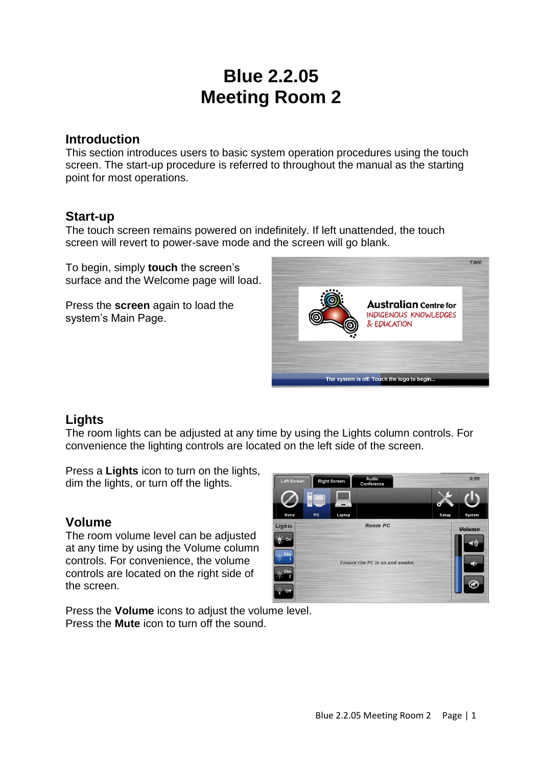# **Blue 2.2.05 Meeting Room 2**

## **Introduction**

This section introduces users to basic system operation procedures using the touch screen. The start-up procedure is referred to throughout the manual as the starting point for most operations.

## **Start-up**

The touch screen remains powered on indefinitely. If left unattended, the touch screen will revert to power-save mode and the screen will go blank.

To begin, simply **touch** the screen's surface and the Welcome page will load.

Press the **screen** again to load the system's Main Page.



## **Lights**

The room lights can be adjusted at any time by using the Lights column controls. For convenience the lighting controls are located on the left side of the screen.

Press a **Lights** icon to turn on the lights, dim the lights, or turn off the lights.

## **Volume**

The room volume level can be adjusted at any time by using the Volume column controls. For convenience, the volume controls are located on the right side of the screen.



Press the **Volume** icons to adjust the volume level. Press the **Mute** icon to turn off the sound.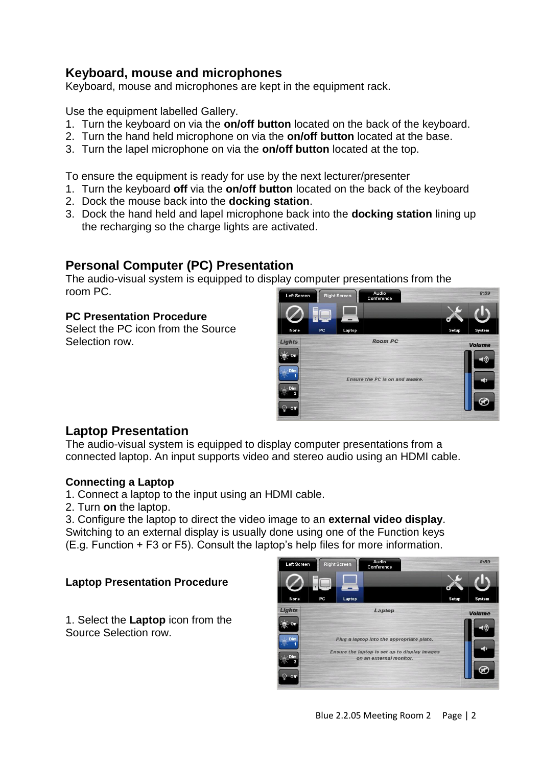## **Keyboard, mouse and microphones**

Keyboard, mouse and microphones are kept in the equipment rack.

Use the equipment labelled Gallery.

- 1. Turn the keyboard on via the **on/off button** located on the back of the keyboard.
- 2. Turn the hand held microphone on via the **on/off button** located at the base.
- 3. Turn the lapel microphone on via the **on/off button** located at the top.

To ensure the equipment is ready for use by the next lecturer/presenter

- 1. Turn the keyboard **off** via the **on/off button** located on the back of the keyboard
- 2. Dock the mouse back into the **docking station**.
- 3. Dock the hand held and lapel microphone back into the **docking station** lining up the recharging so the charge lights are activated.

## **Personal Computer (PC) Presentation**

The audio-visual system is equipped to display computer presentations from the room PC.

#### **PC Presentation Procedure**

Select the PC icon from the Source Selection row.



## **Laptop Presentation**

The audio-visual system is equipped to display computer presentations from a connected laptop. An input supports video and stereo audio using an HDMI cable.

#### **Connecting a Laptop**

- 1. Connect a laptop to the input using an HDMI cable.
- 2. Turn **on** the laptop.

3. Configure the laptop to direct the video image to an **external video display**. Switching to an external display is usually done using one of the Function keys (E.g. Function + F3 or F5). Consult the laptop's help files for more information.

#### **Laptop Presentation Procedure**

1. Select the **Laptop** icon from the Source Selection row.

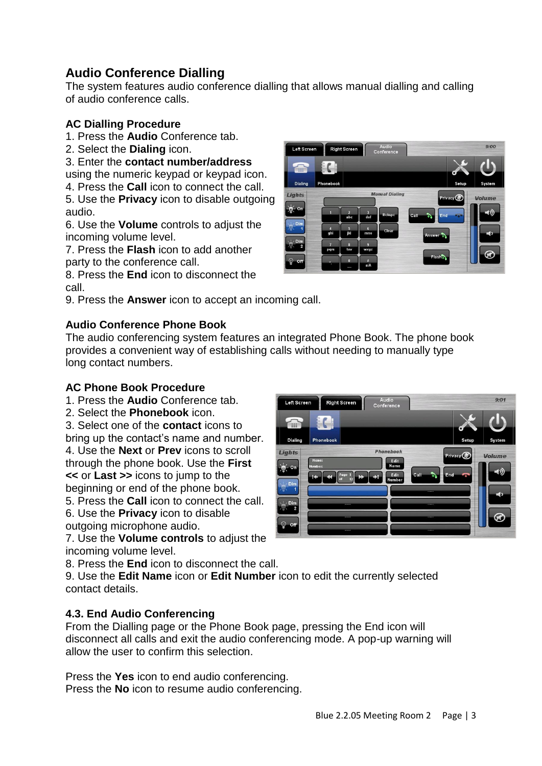## **Audio Conference Dialling**

The system features audio conference dialling that allows manual dialling and calling of audio conference calls.

## **AC Dialling Procedure**

- 1. Press the **Audio** Conference tab.
- 2. Select the **Dialing** icon.
- 3. Enter the **contact number/address**

using the numeric keypad or keypad icon.

4. Press the **Call** icon to connect the call.

5. Use the **Privacy** icon to disable outgoing audio.

6. Use the **Volume** controls to adjust the incoming volume level.

7. Press the **Flash** icon to add another party to the conference call.

8. Press the **End** icon to disconnect the call.

9. Press the **Answer** icon to accept an incoming call.

#### **Audio Conference Phone Book**



The audio conferencing system features an integrated Phone Book. The phone book provides a convenient way of establishing calls without needing to manually type long contact numbers.

#### **AC Phone Book Procedure**

- 1. Press the **Audio** Conference tab.
- 2. Select the **Phonebook** icon.

3. Select one of the **contact** icons to bring up the contact's name and number. 4. Use the **Next** or **Prev** icons to scroll through the phone book. Use the **First <<** or **Last >>** icons to jump to the beginning or end of the phone book.

5. Press the **Call** icon to connect the call. 6. Use the **Privacy** icon to disable

outgoing microphone audio.

7. Use the **Volume controls** to adjust the incoming volume level.

8. Press the **End** icon to disconnect the call.

9. Use the **Edit Name** icon or **Edit Number** icon to edit the currently selected contact details.

#### **4.3. End Audio Conferencing**

From the Dialling page or the Phone Book page, pressing the End icon will disconnect all calls and exit the audio conferencing mode. A pop-up warning will allow the user to confirm this selection.

Press the **Yes** icon to end audio conferencing. Press the **No** icon to resume audio conferencing.